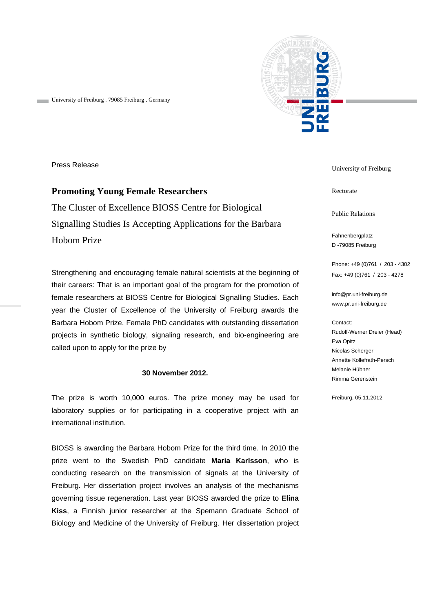

University of Freiburg . 79085 Freiburg . Germany

Press Release

**Promoting Young Female Researchers**  The Cluster of Excellence BIOSS Centre for Biological Signalling Studies Is Accepting Applications for the Barbara Hobom Prize

Strengthening and encouraging female natural scientists at the beginning of their careers: That is an important goal of the program for the promotion of female researchers at BIOSS Centre for Biological Signalling Studies. Each year the Cluster of Excellence of the University of Freiburg awards the Barbara Hobom Prize. Female PhD candidates with outstanding dissertation projects in synthetic biology, signaling research, and bio-engineering are called upon to apply for the prize by

## **30 November 2012.**

The prize is worth 10,000 euros. The prize money may be used for laboratory supplies or for participating in a cooperative project with an international institution.

BIOSS is awarding the Barbara Hobom Prize for the third time. In 2010 the prize went to the Swedish PhD candidate **Maria Karlsson**, who is conducting research on the transmission of signals at the University of Freiburg. Her dissertation project involves an analysis of the mechanisms governing tissue regeneration. Last year BIOSS awarded the prize to **Elina Kiss**, a Finnish junior researcher at the Spemann Graduate School of Biology and Medicine of the University of Freiburg. Her dissertation project University of Freiburg

Rectorate

Public Relations

Fahnenbergplatz D -79085 Freiburg

Phone: +49 (0)761 / 203 - 4302 Fax: +49 (0)761 / 203 - 4278

info@pr.uni-freiburg.de www.pr.uni-freiburg.de

Contact: Rudolf-Werner Dreier (Head) Eva Opitz Nicolas Scherger Annette Kollefrath-Persch Melanie Hübner Rimma Gerenstein

Freiburg, 05.11.2012